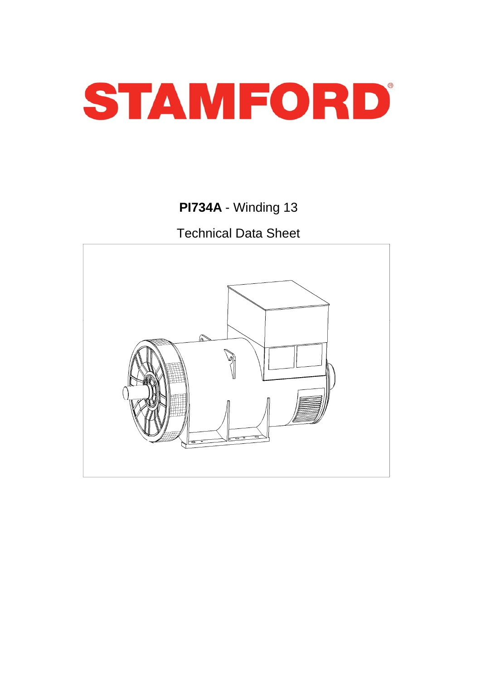

**PI734A** - Winding 13

Technical Data Sheet

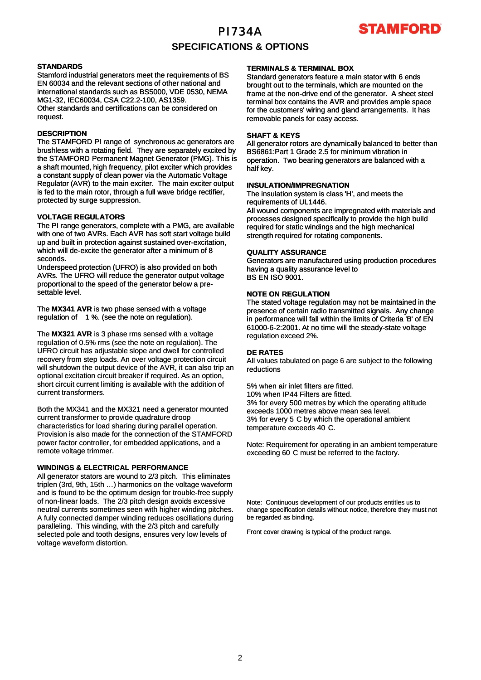# **TAMFORD**

### **SPECIFICATIONS & OPTIONS**

#### **STANDARDS**

Stamford industrial generators meet the requirements of BS EN 60034 and the relevant sections of other national and international standards such as BS5000, VDE 0530, NEMA MG1-32, IEC60034, CSA C22.2-100, AS1359. Other standards and certifications can be considered on request.

#### **DESCRIPTION**

The STAMFORD PI range of synchronous ac generators are brushless with a rotating field. They are separately excited by the STAMFORD Permanent Magnet Generator (PMG). This is a shaft mounted, high frequency, pilot exciter which provides a constant supply of clean power via the Automatic Voltage Regulator (AVR) to the main exciter. The main exciter output is fed to the main rotor, through a full wave bridge rectifier, protected by surge suppression.

#### **VOLTAGE REGULATORS**

The PI range generators, complete with a PMG, are available with one of two AVRs. Each AVR has soft start voltage build up and built in protection against sustained over-excitation, which will de-excite the generator after a minimum of 8 seconds.

Underspeed protection (UFRO) is also provided on both AVRs. The UFRO will reduce the generator output voltage proportional to the speed of the generator below a presettable level.

The **MX341 AVR** is two phase sensed with a voltage regulation of 1 %. (see the note on regulation).

The MX321 AVR is 3 phase rms sensed with a voltage regulation of 0.5% rms (see the note on regulation). The UFRO circuit has adjustable slope and dwell for controlled recovery from step loads. An over voltage protection circuit will shutdown the output device of the AVR, it can also trip an optional excitation circuit breaker if required. As an option, short circuit current limiting is available with the addition of current transformers.

Both the MX341 and the MX321 need a generator mounted current transformer to provide quadrature droop characteristics for load sharing during parallel operation. Provision is also made for the connection of the STAMFORD power factor controller, for embedded applications, and a remote voltage trimmer.

#### **WINDINGS & ELECTRICAL PERFORMANCE**

All generator stators are wound to 2/3 pitch. This eliminates triplen (3rd, 9th, 15th …) harmonics on the voltage waveform and is found to be the optimum design for trouble-free supply of non-linear loads. The 2/3 pitch design avoids excessive neutral currents sometimes seen with higher winding pitches. A fully connected damper winding reduces oscillations during paralleling. This winding, with the 2/3 pitch and carefully selected pole and tooth designs, ensures very low levels of voltage waveform distortion.

#### **TERMINALS & TERMINAL BOX**

Standard generators feature a main stator with 6 ends brought out to the terminals, which are mounted on the frame at the non-drive end of the generator. A sheet steel terminal box contains the AVR and provides ample space for the customers' wiring and gland arrangements. It has removable panels for easy access.

#### **SHAFT & KEYS**

All generator rotors are dynamically balanced to better than BS6861:Part 1 Grade 2.5 for minimum vibration in operation. Two bearing generators are balanced with a half key.

#### **INSULATION/IMPREGNATION**

The insulation system is class 'H', and meets the requirements of UL1446.

All wound components are impregnated with materials and processes designed specifically to provide the high build required for static windings and the high mechanical strength required for rotating components.

#### **QUALITY ASSURANCE**

Generators are manufactured using production procedures having a quality assurance level to BS EN ISO 9001.

#### **NOTE ON REGULATION**

The stated voltage regulation may not be maintained in the presence of certain radio transmitted signals. Any change in performance will fall within the limits of Criteria 'B' of EN 61000-6-2:2001. At no time will the steady-state voltage regulation exceed 2%.

#### **DE RATES**

All values tabulated on page 6 are subject to the following reductions

5% when air inlet filters are fitted. 10% when IP44 Filters are fitted. 3% for every 500 metres by which the operating altitude exceeds 1000 metres above mean sea level. 3% for every 5 C by which the operational ambient temperature exceeds 40 C.

Note: Requirement for operating in an ambient temperature exceeding 60 C must be referred to the factory.

Note: Continuous development of our products entitles us to change specification details without notice, therefore they must not be regarded as binding.

Front cover drawing is typical of the product range.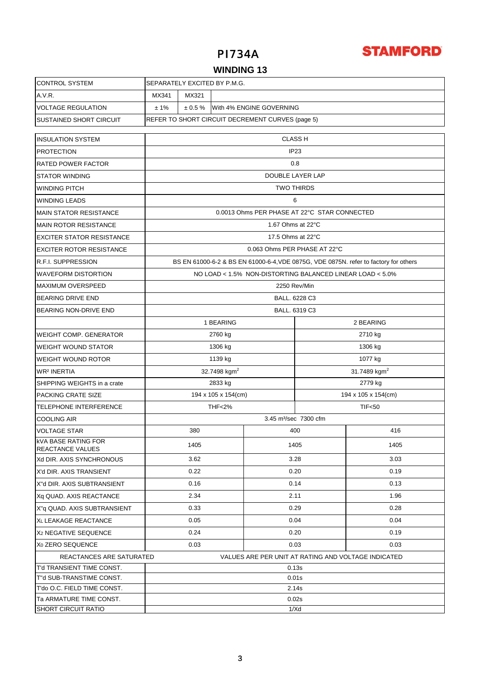

### **WINDING 13**

| <b>CONTROL SYSTEM</b>                                                           |                                                     | SEPARATELY EXCITED BY P.M.G.                                                         |         |      |         |      |  |  |  |
|---------------------------------------------------------------------------------|-----------------------------------------------------|--------------------------------------------------------------------------------------|---------|------|---------|------|--|--|--|
| A.V.R.                                                                          | MX321<br>MX341                                      |                                                                                      |         |      |         |      |  |  |  |
| <b>VOLTAGE REGULATION</b>                                                       | With 4% ENGINE GOVERNING<br>$± 1\%$<br>$\pm 0.5 \%$ |                                                                                      |         |      |         |      |  |  |  |
| <b>SUSTAINED SHORT CIRCUIT</b>                                                  | REFER TO SHORT CIRCUIT DECREMENT CURVES (page 5)    |                                                                                      |         |      |         |      |  |  |  |
|                                                                                 |                                                     |                                                                                      |         |      |         |      |  |  |  |
| <b>INSULATION SYSTEM</b>                                                        | <b>CLASS H</b>                                      |                                                                                      |         |      |         |      |  |  |  |
| <b>PROTECTION</b>                                                               | IP <sub>23</sub>                                    |                                                                                      |         |      |         |      |  |  |  |
| RATED POWER FACTOR                                                              | 0.8                                                 |                                                                                      |         |      |         |      |  |  |  |
| <b>STATOR WINDING</b>                                                           | DOUBLE LAYER LAP                                    |                                                                                      |         |      |         |      |  |  |  |
| <b>WINDING PITCH</b>                                                            | <b>TWO THIRDS</b>                                   |                                                                                      |         |      |         |      |  |  |  |
| <b>WINDING LEADS</b>                                                            | 6                                                   |                                                                                      |         |      |         |      |  |  |  |
| <b>MAIN STATOR RESISTANCE</b>                                                   | 0.0013 Ohms PER PHASE AT 22°C STAR CONNECTED        |                                                                                      |         |      |         |      |  |  |  |
| <b>MAIN ROTOR RESISTANCE</b>                                                    | 1.67 Ohms at 22°C                                   |                                                                                      |         |      |         |      |  |  |  |
| <b>EXCITER STATOR RESISTANCE</b>                                                |                                                     | 17.5 Ohms at 22°C                                                                    |         |      |         |      |  |  |  |
| <b>EXCITER ROTOR RESISTANCE</b>                                                 |                                                     | 0.063 Ohms PER PHASE AT 22°C                                                         |         |      |         |      |  |  |  |
| <b>R.F.I. SUPPRESSION</b>                                                       |                                                     | BS EN 61000-6-2 & BS EN 61000-6-4, VDE 0875G, VDE 0875N. refer to factory for others |         |      |         |      |  |  |  |
| <b>WAVEFORM DISTORTION</b>                                                      |                                                     | NO LOAD < 1.5% NON-DISTORTING BALANCED LINEAR LOAD < 5.0%                            |         |      |         |      |  |  |  |
| <b>MAXIMUM OVERSPEED</b>                                                        |                                                     | 2250 Rev/Min                                                                         |         |      |         |      |  |  |  |
| <b>BEARING DRIVE END</b>                                                        |                                                     | BALL. 6228 C3                                                                        |         |      |         |      |  |  |  |
| BEARING NON-DRIVE END                                                           | BALL. 6319 C3                                       |                                                                                      |         |      |         |      |  |  |  |
|                                                                                 | 1 BEARING<br>2 BEARING                              |                                                                                      |         |      |         |      |  |  |  |
| <b>WEIGHT COMP. GENERATOR</b>                                                   |                                                     |                                                                                      | 2760 kg |      | 2710 kg |      |  |  |  |
| <b>WEIGHT WOUND STATOR</b>                                                      |                                                     |                                                                                      | 1306 kg |      | 1306 kg |      |  |  |  |
| WEIGHT WOUND ROTOR                                                              |                                                     |                                                                                      | 1139 kg |      | 1077 kg |      |  |  |  |
| <b>WR<sup>2</sup> INERTIA</b>                                                   |                                                     | 31.7489 kgm <sup>2</sup>                                                             |         |      |         |      |  |  |  |
| SHIPPING WEIGHTS in a crate                                                     | 32.7498 kgm <sup>2</sup><br>2833 kg<br>2779 kg      |                                                                                      |         |      |         |      |  |  |  |
| PACKING CRATE SIZE                                                              | 194 x 105 x 154(cm)<br>194 x 105 x 154(cm)          |                                                                                      |         |      |         |      |  |  |  |
| <b>TELEPHONE INTERFERENCE</b>                                                   |                                                     | TIF <sub>50</sub>                                                                    |         |      |         |      |  |  |  |
| <b>COOLING AIR</b>                                                              |                                                     |                                                                                      |         |      |         |      |  |  |  |
| <b>VOLTAGE STAR</b>                                                             |                                                     | 416                                                                                  |         |      |         |      |  |  |  |
| KVA BASE RATING FOR                                                             |                                                     | 380                                                                                  |         | 400  |         |      |  |  |  |
| <b>REACTANCE VALUES</b>                                                         |                                                     | 1405                                                                                 |         | 1405 |         | 1405 |  |  |  |
| Xd DIR. AXIS SYNCHRONOUS                                                        |                                                     | 3.62                                                                                 |         | 3.28 |         | 3.03 |  |  |  |
| X'd DIR. AXIS TRANSIENT                                                         |                                                     | 0.22                                                                                 |         | 0.20 |         | 0.19 |  |  |  |
| X"d DIR. AXIS SUBTRANSIENT                                                      |                                                     | 0.16                                                                                 |         | 0.14 |         | 0.13 |  |  |  |
| Xq QUAD. AXIS REACTANCE                                                         |                                                     | 2.34                                                                                 |         | 2.11 |         | 1.96 |  |  |  |
| X"g QUAD. AXIS SUBTRANSIENT                                                     |                                                     | 0.33                                                                                 |         | 0.29 |         | 0.28 |  |  |  |
| <b>XL LEAKAGE REACTANCE</b>                                                     | 0.05                                                |                                                                                      |         | 0.04 |         | 0.04 |  |  |  |
| X <sub>2</sub> NEGATIVE SEQUENCE                                                | 0.24                                                |                                                                                      |         | 0.20 |         | 0.19 |  |  |  |
| X <sub>0</sub> ZERO SEQUENCE                                                    | 0.03<br>0.03<br>0.03                                |                                                                                      |         |      |         |      |  |  |  |
| VALUES ARE PER UNIT AT RATING AND VOLTAGE INDICATED<br>REACTANCES ARE SATURATED |                                                     |                                                                                      |         |      |         |      |  |  |  |
| T'd TRANSIENT TIME CONST.                                                       | 0.13s                                               |                                                                                      |         |      |         |      |  |  |  |
| T"d SUB-TRANSTIME CONST.                                                        | 0.01s                                               |                                                                                      |         |      |         |      |  |  |  |
| T'do O.C. FIELD TIME CONST.                                                     | 2.14s                                               |                                                                                      |         |      |         |      |  |  |  |
| Ta ARMATURE TIME CONST.                                                         | 0.02s                                               |                                                                                      |         |      |         |      |  |  |  |
| <b>SHORT CIRCUIT RATIO</b><br>1/Xd                                              |                                                     |                                                                                      |         |      |         |      |  |  |  |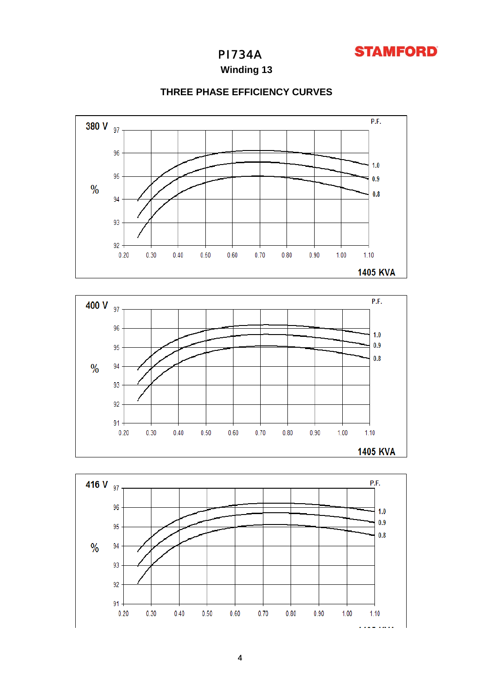

**Winding 13**



### **THREE PHASE EFFICIENCY CURVES**



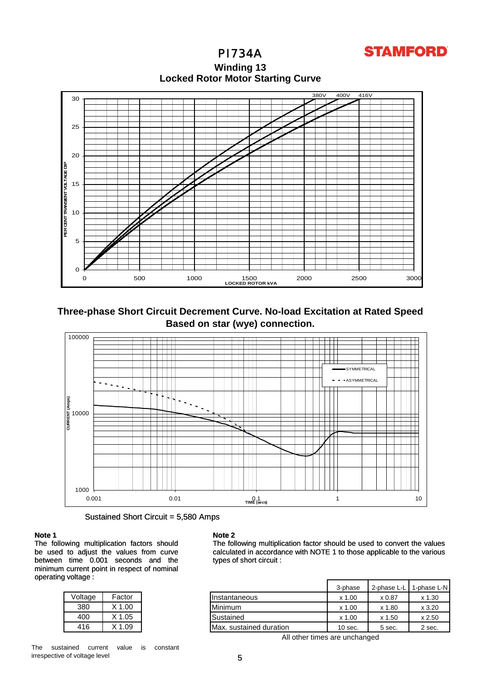## **STAMFORD**

**Locked Rotor Motor Starting Curve Winding 13**



**Three-phase Short Circuit Decrement Curve. No-load Excitation at Rated Speed Based on star (wye) connection.**



Sustained Short Circuit = 5,580 Amps

#### **Note 1**

The following multiplication factors should be used to adjust the values from curve between time 0.001 seconds and the minimum current point in respect of nominal operating voltage :

| Voltage | Factor   |
|---------|----------|
| 380     | $X$ 1.00 |
| 400     | X 1.05   |
| 416     | X 1 09   |

#### **Note 2**

The following multiplication factor should be used to convert the values calculated in accordance with NOTE 1 to those applicable to the various types of short circuit :

| .       |        |                         | 3-phase   | 2-phase L-L | 1-phase L-N |
|---------|--------|-------------------------|-----------|-------------|-------------|
| Voltage | Factor | Instantaneous           | $x$ 1.00  | x 0.87      | x 1.30      |
| 380     | X 1.00 | <b>Minimum</b>          | x 1.00    | x 1.80      | x3.20       |
| 400     | X 1.05 | Sustained               | x 1.00    | x 1.50      | x 2.50      |
| 416     | X 1.09 | Max. sustained duration | $10$ sec. | 5 sec.      | 2 sec.      |

All other times are unchanged